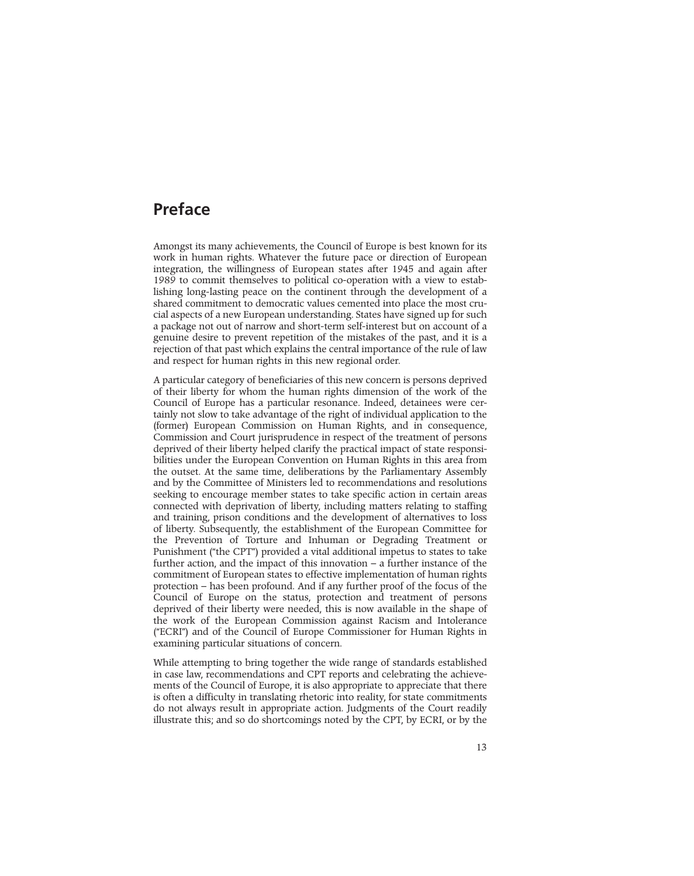## **Preface**

Amongst its many achievements, the Council of Europe is best known for its work in human rights. Whatever the future pace or direction of European integration, the willingness of European states after 1945 and again after 1989 to commit themselves to political co-operation with a view to establishing long-lasting peace on the continent through the development of a shared commitment to democratic values cemented into place the most crucial aspects of a new European understanding. States have signed up for such a package not out of narrow and short-term self-interest but on account of a genuine desire to prevent repetition of the mistakes of the past, and it is a rejection of that past which explains the central importance of the rule of law and respect for human rights in this new regional order.

A particular category of beneficiaries of this new concern is persons deprived of their liberty for whom the human rights dimension of the work of the Council of Europe has a particular resonance. Indeed, detainees were certainly not slow to take advantage of the right of individual application to the (former) European Commission on Human Rights, and in consequence, Commission and Court jurisprudence in respect of the treatment of persons deprived of their liberty helped clarify the practical impact of state responsibilities under the European Convention on Human Rights in this area from the outset. At the same time, deliberations by the Parliamentary Assembly and by the Committee of Ministers led to recommendations and resolutions seeking to encourage member states to take specific action in certain areas connected with deprivation of liberty, including matters relating to staffing and training, prison conditions and the development of alternatives to loss of liberty. Subsequently, the establishment of the European Committee for the Prevention of Torture and Inhuman or Degrading Treatment or Punishment ("the CPT") provided a vital additional impetus to states to take further action, and the impact of this innovation – a further instance of the commitment of European states to effective implementation of human rights protection – has been profound. And if any further proof of the focus of the Council of Europe on the status, protection and treatment of persons deprived of their liberty were needed, this is now available in the shape of the work of the European Commission against Racism and Intolerance ("ECRI") and of the Council of Europe Commissioner for Human Rights in examining particular situations of concern.

While attempting to bring together the wide range of standards established in case law, recommendations and CPT reports and celebrating the achievements of the Council of Europe, it is also appropriate to appreciate that there is often a difficulty in translating rhetoric into reality, for state commitments do not always result in appropriate action. Judgments of the Court readily illustrate this; and so do shortcomings noted by the CPT, by ECRI, or by the